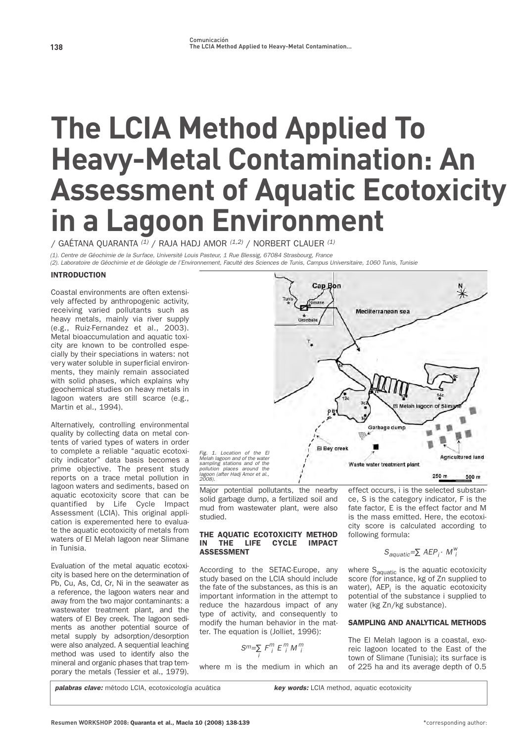# **The LCIA Method Applied To Heavy-Metal Contamination: An Assessment of Aquatic Ecotoxicity in a Lagoon Environment**

**/ GAÉTANA QUARANTA** (1) **/ RAJA HADJ AMOR** (1,2) **/ NORBERT CLAUER** (1)

(1). Centre de Géochimie de la Surface, Université Louis Pasteur, 1 Rue Blessig, 67084 Strasbourg, France

lagoon<br>ראמרי

(2). Laboratoire de Géochimie et de Géologie de l'Environnement, Faculté des Sciences de Tunis, Campus Universitaire, 1060 Tunis, Tunisie

### INTRODUCTION

**Coastal environments are often extensively affected by anthropogenic activity, receiving varied pollutants such as heavy metals, mainly via river supply (e.g., Ruiz-Fernandez et al., 2003). Metal bioaccumulation and aquatic toxicity are known to be controlled especially by their speciations in waters: not very water soluble in superficial environments, they mainly remain associated with solid phases, which explains why geochemical studies on heavy metals in lagoon waters are still scarce (e.g., Martin et al., 1994).**

**Alternatively, controlling environmental quality by collecting data on metal contents of varied types of waters in order to complete a reliable "aquatic ecotoxicity indicator" data basis becomes a prime objective. The present study reports on a trace metal pollution in lagoon waters and sediments, based on aquatic ecotoxicity score that can be quantified by Life Cycle Impact Assessment (LCIA). This original application is experemented here to evaluate the aquatic ecotoxicity of metals from waters of El Melah lagoon near Slimane in Tunisia.**

**Evaluation of the metal aquatic ecotoxicity is based here on the determination of Pb, Cu, As, Cd, Cr, Ni in the seawater as a reference, the lagoon waters near and away from the two major contaminants: a wastewater treatment plant, and the waters of El Bey creek. The lagoon sediments as another potential source of metal supply by adsorption/desorption were also analyzed. A sequential leaching method was used to identify also the mineral and organic phases that trap temporary the metals (Tessier et al., 1979).**



**Major potential pollutants, the nearby solid garbage dump, a fertilized soil and mud from wastewater plant, were also studied.**

#### THE AQUATIC ECOTOXICITY METHOD IN THE LIFE CYCLE IMPACT ASSESSMENT

**According to the SETAC-Europe, any study based on the LCIA should include the fate of the substances, as this is an important information in the attempt to reduce the hazardous impact of any type of activity, and consequently to modify the human behavior in the matter. The equation is (Jolliet, 1996):**

$$
S^m=\sum_i F_i^m E_i^m M_i^m
$$

**where m is the medium in which an**

**effect occurs, i is the selected substance, S is the category indicator, F is the fate factor, E is the effect factor and M is the mass emitted. Here, the ecotoxicity score is calculated according to following formula:**

# $S_{aquatic} = \sum AEP_i \cdot M_{i}^{W}$

**where Saquatic is the aquatic ecotoxicity score (for instance, kg of Zn supplied to water), AEPi is the aquatic ecotoxicity potential of the substance i supplied to water (kg Zn/kg substance).** 

## SAMPLING AND ANALYTICAL METHODS

**The El Melah lagoon is a coastal, exoreic lagoon located to the East of the town of Slimane (Tunisia); its surface is of 225 ha and its average depth of 0.5**

**palabras clave:** método LCIA, ecotoxicología acuática **key words:** LCIA method, aquatic ecotoxicity

**Resumen WORKSHOP 2008:** Quaranta et al.**,** Macla 10 (2008) 138-139